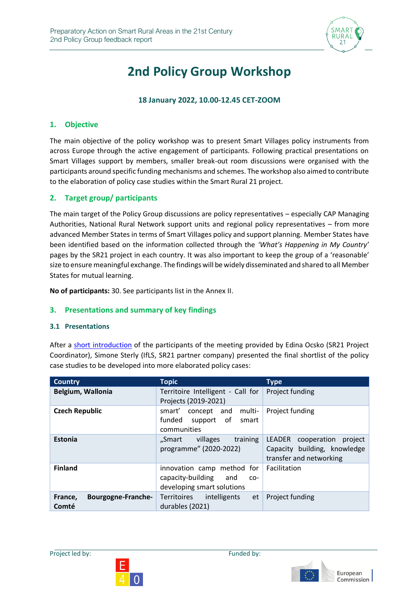

# **2nd Policy Group Workshop**

#### **18 January 2022, 10.00-12.45 CET-ZOOM**

#### **1. Objective**

The main objective of the policy workshop was to present Smart Villages policy instruments from across Europe through the active engagement of participants. Following practical presentations on Smart Villages support by members, smaller break-out room discussions were organised with the participants around specific funding mechanisms and schemes. The workshop also aimed to contribute to the elaboration of policy case studies within the Smart Rural 21 project.

#### **2. Target group/ participants**

The main target of the Policy Group discussions are policy representatives – especially CAP Managing Authorities, National Rural Network support units and regional policy representatives – from more advanced Member States in terms of Smart Villages policy and support planning. Member States have been identified based on the information collected through the *'What's Happening in My Country'* pages by the SR21 project in each country. It was also important to keep the group of a 'reasonable' size to ensure meaningful exchange. The findings will be widely disseminated and shared to all Member States for mutual learning.

**No of participants:** 30. See participants list in the Annex II.

#### **3. Presentations and summary of key findings**

#### **3.1 Presentations**

After a [short introduction](https://www.smartrural21.eu/wp-content/uploads/Policy-group_180122_E40_IfLS_sis.pdf) of the participants of the meeting provided by Edina Ocsko (SR21 Project Coordinator), Simone Sterly (IfLS, SR21 partner company) presented the final shortlist of the policy case studies to be developed into more elaborated policy cases:

| <b>Country</b>                         | <b>Topic</b>                                                                                  | <b>Type</b>                                                                              |
|----------------------------------------|-----------------------------------------------------------------------------------------------|------------------------------------------------------------------------------------------|
| Belgium, Wallonia                      | Territoire Intelligent - Call for<br>Projects (2019-2021)                                     | Project funding                                                                          |
| <b>Czech Republic</b>                  | smart'<br>concept and<br>multi-<br>funded support of<br>smart<br>communities                  | Project funding                                                                          |
| Estonia                                | villages<br>training<br>"Smart<br>programme" (2020-2022)                                      | LEADER cooperation<br>project<br>Capacity building, knowledge<br>transfer and networking |
| <b>Finland</b>                         | innovation camp method for<br>capacity-building<br>and<br>$CO-$<br>developing smart solutions | Facilitation                                                                             |
| France,<br>Bourgogne-Franche-<br>Comté | Territoires<br>intelligents<br>et<br>durables (2021)                                          | Project funding                                                                          |



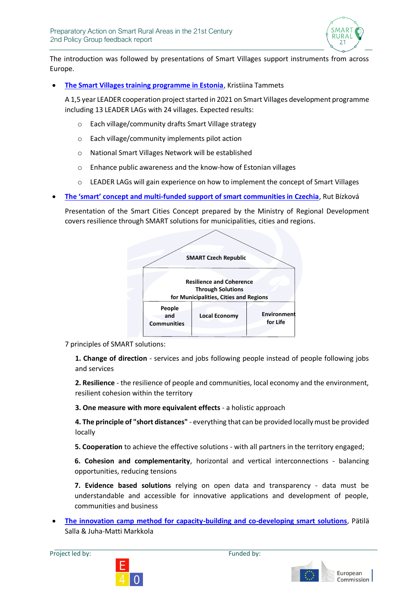

The introduction was followed by presentations of Smart Villages support instruments from across Europe.

• **[The Smart Villages training programme in Estonia](https://www.smartrural21.eu/wp-content/uploads/Co-creating-to-support-Smart-Villages-in-Estonia.pdf)**, Kristiina Tammets

A 1,5 year LEADER cooperation project started in 2021 on Smart Villages development programme including 13 LEADER LAGs with 24 villages. Expected results:

- o Each village/community drafts Smart Village strategy
- o Each village/community implements pilot action
- o National Smart Villages Network will be established
- o Enhance public awareness and the know-how of Estonian villages
- $\circ$  LEADER LAGs will gain experience on how to implement the concept of Smart Villages
- **The 'smart' concept and multi[-funded support of smart communities in Czechia](https://www.smartrural21.eu/wp-content/uploads/Presentation-Bizkova-Jan-18-2022.pdf)**, Rut Bízková **Structure of concept of concept**

Presentation of the Smart Cities Concept prepared by the Ministry of Regional Development covers resilience through SMART solutions for municipalities, cities and regions.



7 principles of SMART solutions:

**1. Change of direction** - services and jobs following people instead of people following jobs and services

**2. Resilience** - the resilience of people and communities, local economy and the environment, resilient cohesion within the territory

**3. One measure with more equivalent effects** - a holistic approach

**4. The principle of "short distances"** - everything that can be provided locally must be provided locally

**5. Cooperation** to achieve the effective solutions - with all partners in the territory engaged;

**6. Cohesion and complementarity**, horizontal and vertical interconnections - balancing opportunities, reducing tensions

**7. Evidence based solutions** relying on open data and transparency - data must be understandable and accessible for innovative applications and development of people, communities and business

• **[The innovation camp method for capacity-building and co-developing smart solutions](https://www.smartrural21.eu/wp-content/uploads/The-innovation-camp-method-for-capacity-building-and-co-developing-smart-solutions-SR21-18.1.2021.pdf)**, Pätilä Salla & Juha-Matti Markkola



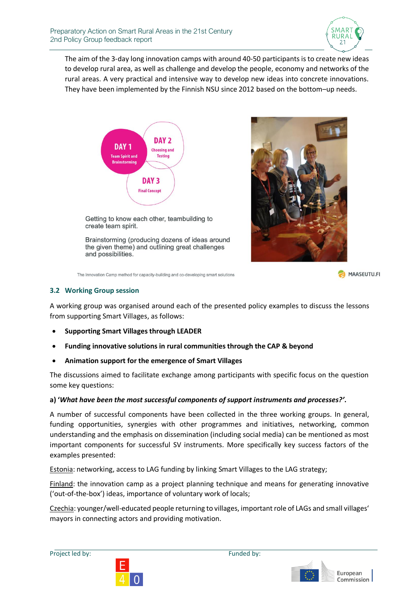

The aim of the 3-day long innovation camps with around 40-50 participants is to create new ideas to develop rural area, as well as challenge and develop the people, economy and networks of the rural areas. A very practical and intensive way to develop new ideas into concrete innovations. They have been implemented by the Finnish NSU since 2012 based on the bottom–up needs.



Getting to know each other, teambuilding to create team spirit.

Brainstorming (producing dozens of ideas around the given theme) and outlining great challenges and possibilities.



The Innovation Camp method for capacity-building and co-developing smart solutions

MAASEUTU.FI

#### **3.2 Working Group session**

A working group was organised around each of the presented policy examples to discuss the lessons from supporting Smart Villages, as follows:

- **Supporting Smart Villages through LEADER**
- **[Funding innovative solutions in rural communities through the CAP & beyond](https://www.smartrural21.eu/wp-content/uploads/Presentation-Bizkova-Jan-18-2022-eng-2.pdf)**
- **Animation support for the emergence of Smart Villages**

The discussions aimed to facilitate exchange among participants with specific focus on the question some key questions:

#### **a) '***What have been the most successful components of support instruments and processes?'***.**

A number of successful components have been collected in the three working groups. In general, funding opportunities, synergies with other programmes and initiatives, networking, common understanding and the emphasis on dissemination (including social media) can be mentioned as most important components for successful SV instruments. More specifically key success factors of the examples presented:

Estonia: networking, access to LAG funding by linking Smart Villages to the LAG strategy;

Finland: the innovation camp as a project planning technique and means for generating innovative ('out-of-the-box') ideas, importance of voluntary work of locals;

Czechia: younger/well-educated people returning to villages, important role of LAGs and small villages' mayors in connecting actors and providing motivation.



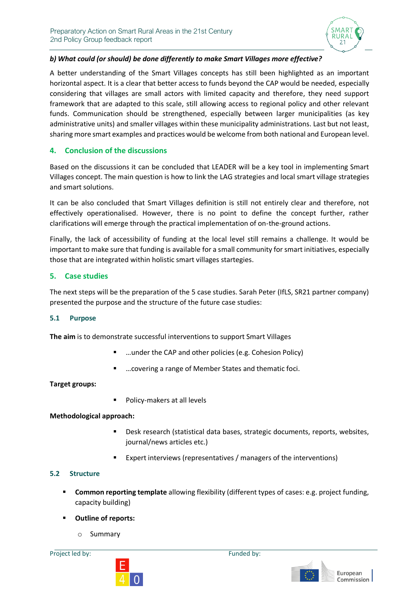

#### *b) What could (or should) be done differently to make Smart Villages more effective?*

A better understanding of the Smart Villages concepts has still been highlighted as an important horizontal aspect. It is a clear that better access to funds beyond the CAP would be needed, especially considering that villages are small actors with limited capacity and therefore, they need support framework that are adapted to this scale, still allowing access to regional policy and other relevant funds. Communication should be strengthened, especially between larger municipalities (as key administrative units) and smaller villages within these municipality administrations. Last but not least, sharing more smart examples and practices would be welcome from both national and European level.

#### **4. Conclusion of the discussions**

Based on the discussions it can be concluded that LEADER will be a key tool in implementing Smart Villages concept. The main question is how to link the LAG strategies and local smart village strategies and smart solutions.

It can be also concluded that Smart Villages definition is still not entirely clear and therefore, not effectively operationalised. However, there is no point to define the concept further, rather clarifications will emerge through the practical implementation of on-the-ground actions.

Finally, the lack of accessibility of funding at the local level still remains a challenge. It would be important to make sure that funding is available for a small community for smart initiatives, especially those that are integrated within holistic smart villages startegies.

#### **5. Case studies**

The next steps will be the preparation of the 5 case studies. Sarah Peter (IfLS, SR21 partner company) presented the purpose and the structure of the future case studies:

#### **5.1 Purpose**

**The aim** is to demonstrate successful interventions to support Smart Villages

- …under the CAP and other policies (e.g. Cohesion Policy)
- ... covering a range of Member States and thematic foci.

**Target groups:**

■ Policy-makers at all levels

**Methodological approach:** 

- Desk research (statistical data bases, strategic documents, reports, websites, journal/news articles etc.)
- Expert interviews (representatives / managers of the interventions)

#### **5.2 Structure**

- **EXEDENTIFY Common reporting template** allowing flexibility (different types of cases: e.g. project funding, capacity building)
- **Outline of reports:** 
	- o Summary

Project led by: Funded by:



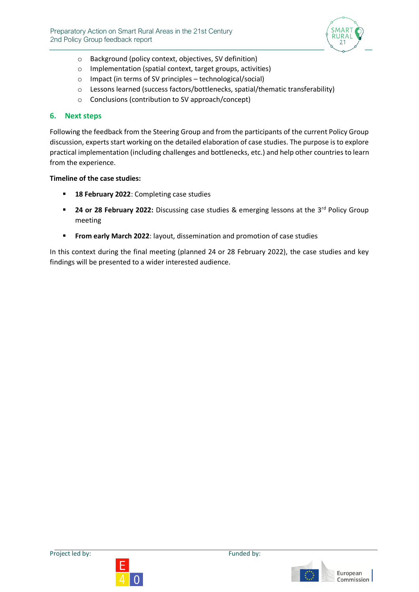

- o Background (policy context, objectives, SV definition)
- o Implementation (spatial context, target groups, activities)
- o Impact (in terms of SV principles technological/social)
- o Lessons learned (success factors/bottlenecks, spatial/thematic transferability)
- o Conclusions (contribution to SV approach/concept)

#### **6. Next steps**

Following the feedback from the Steering Group and from the participants of the current Policy Group discussion, experts start working on the detailed elaboration of case studies. The purpose is to explore practical implementation (including challenges and bottlenecks, etc.) and help other countries to learn from the experience.

#### **Timeline of the case studies:**

- **18 February 2022**: Completing case studies
- **24 or 28 February 2022:** Discussing case studies & emerging lessons at the 3<sup>rd</sup> Policy Group meeting
- **From early March 2022:** layout, dissemination and promotion of case studies

In this context during the final meeting (planned 24 or 28 February 2022), the case studies and key findings will be presented to a wider interested audience.





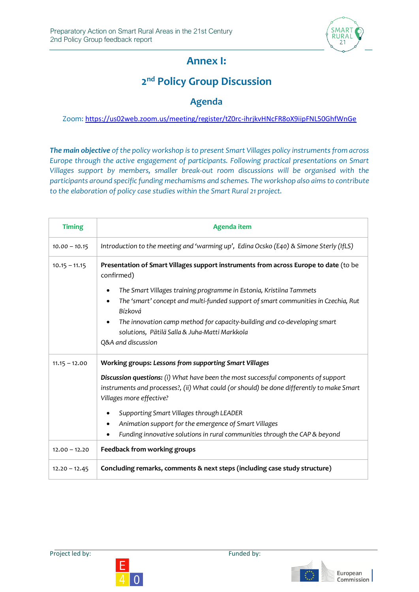

## **Annex I:**

## **2 nd Policy Group Discussion**

### **Agenda**

#### Zoom: <https://us02web.zoom.us/meeting/register/tZ0rc-ihrjkvHNcFR8oX9iipFNL50GhfWnGe>

*The main objective of the policy workshop is to present Smart Villages policy instruments from across Europe through the active engagement of participants. Following practical presentations on Smart Villages support by members, smaller break-out room discussions will be organised with the participants around specific funding mechamisms and schemes. The workshop also aims to contribute to the elaboration of policy case studies within the Smart Rural 21 project.*

| <b>Timing</b>   | <b>Agenda item</b>                                                                                                                                                                                          |  |  |
|-----------------|-------------------------------------------------------------------------------------------------------------------------------------------------------------------------------------------------------------|--|--|
| $10.00 - 10.15$ | Introduction to the meeting and 'warming up', Edina Ocsko (E40) & Simone Sterly (IfLS)                                                                                                                      |  |  |
| $10.15 - 11.15$ | Presentation of Smart Villages support instruments from across Europe to date (to be<br>confirmed)                                                                                                          |  |  |
|                 | The Smart Villages training programme in Estonia, Kristiina Tammets<br>٠<br>The 'smart' concept and multi-funded support of smart communities in Czechia, Rut<br>Bízková                                    |  |  |
|                 | The innovation camp method for capacity-building and co-developing smart<br>solutions, Pätilä Salla & Juha-Matti Markkola<br>Q&A and discussion                                                             |  |  |
| $11.15 - 12.00$ | Working groups: Lessons from supporting Smart Villages                                                                                                                                                      |  |  |
|                 | Discussion questions: (i) What have been the most successful components of support<br>instruments and processes?, (ii) What could (or should) be done differently to make Smart<br>Villages more effective? |  |  |
|                 | Supporting Smart Villages through LEADER                                                                                                                                                                    |  |  |
|                 | Animation support for the emergence of Smart Villages                                                                                                                                                       |  |  |
|                 | Funding innovative solutions in rural communities through the CAP & beyond                                                                                                                                  |  |  |
| $12.00 - 12.20$ | Feedback from working groups                                                                                                                                                                                |  |  |
| $12.20 - 12.45$ | Concluding remarks, comments & next steps (including case study structure)                                                                                                                                  |  |  |